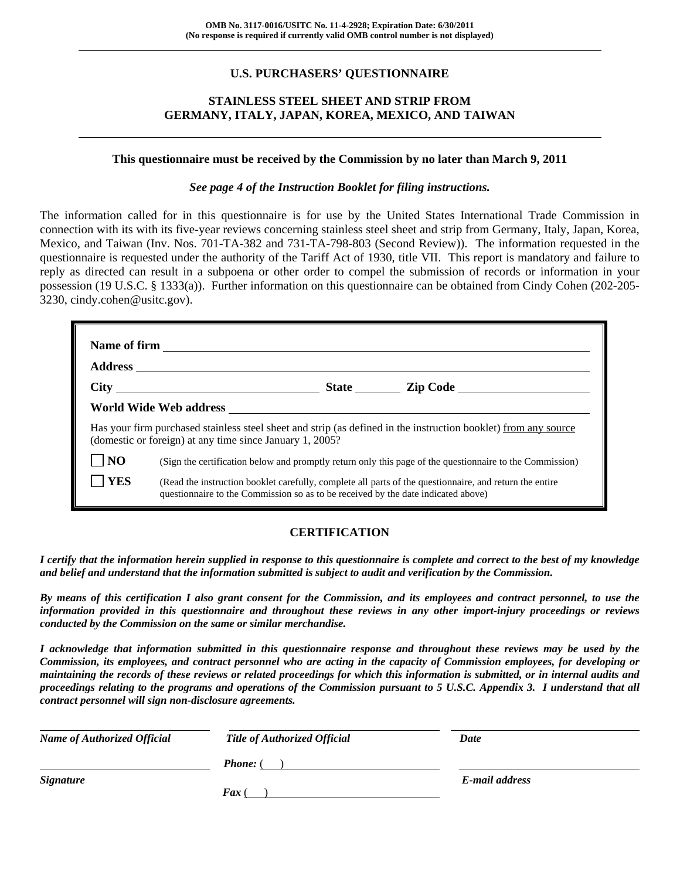## **U.S. PURCHASERS' QUESTIONNAIRE**

## **STAINLESS STEEL SHEET AND STRIP FROM GERMANY, ITALY, JAPAN, KOREA, MEXICO, AND TAIWAN**

#### **This questionnaire must be received by the Commission by no later than March 9, 2011**

#### *See page 4 of the Instruction Booklet for filing instructions.*

The information called for in this questionnaire is for use by the United States International Trade Commission in connection with its with its five-year reviews concerning stainless steel sheet and strip from Germany, Italy, Japan, Korea, Mexico, and Taiwan (Inv. Nos. 701-TA-382 and 731-TA-798-803 (Second Review)). The information requested in the questionnaire is requested under the authority of the Tariff Act of 1930, title VII. This report is mandatory and failure to reply as directed can result in a subpoena or other order to compel the submission of records or information in your possession (19 U.S.C. § 1333(a)). Further information on this questionnaire can be obtained from Cindy Cohen (202-205- 3230, cindy.cohen@usitc.gov).

|                | Has your firm purchased stainless steel sheet and strip (as defined in the instruction booklet) from any source<br>(domestic or foreign) at any time since January 1, 2005?                  |  |  |  |
|----------------|----------------------------------------------------------------------------------------------------------------------------------------------------------------------------------------------|--|--|--|
| N <sub>O</sub> | (Sign the certification below and promptly return only this page of the questionnaire to the Commission)                                                                                     |  |  |  |
| <b>YES</b>     | (Read the instruction booklet carefully, complete all parts of the questionnaire, and return the entire<br>questionnaire to the Commission so as to be received by the date indicated above) |  |  |  |

## **CERTIFICATION**

*I certify that the information herein supplied in response to this questionnaire is complete and correct to the best of my knowledge and belief and understand that the information submitted is subject to audit and verification by the Commission.* 

*By means of this certification I also grant consent for the Commission, and its employees and contract personnel, to use the information provided in this questionnaire and throughout these reviews in any other import-injury proceedings or reviews conducted by the Commission on the same or similar merchandise.* 

*I acknowledge that information submitted in this questionnaire response and throughout these reviews may be used by the Commission, its employees, and contract personnel who are acting in the capacity of Commission employees, for developing or maintaining the records of these reviews or related proceedings for which this information is submitted, or in internal audits and proceedings relating to the programs and operations of the Commission pursuant to 5 U.S.C. Appendix 3. I understand that all contract personnel will sign non-disclosure agreements.* 

| <b>Name of Authorized Official</b> | <b>Title of Authorized Official</b> | Date           |
|------------------------------------|-------------------------------------|----------------|
|                                    | <b>Phone:</b> (                     |                |
| <i>Signature</i>                   |                                     | E-mail address |
|                                    | $\int$ <i>Fax</i> (                 |                |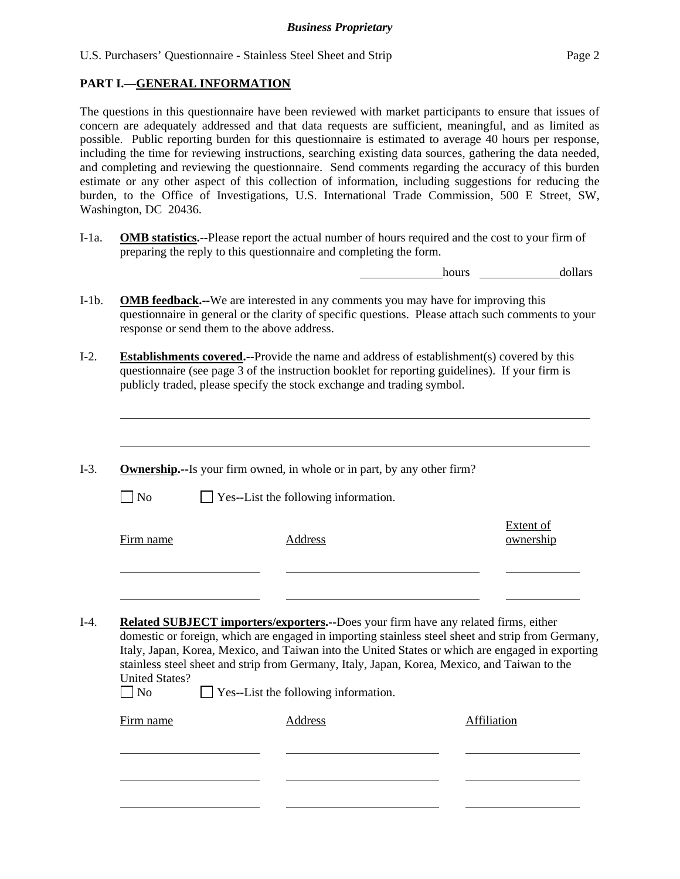## **PART I.—GENERAL INFORMATION**

 $\overline{a}$ 

The questions in this questionnaire have been reviewed with market participants to ensure that issues of concern are adequately addressed and that data requests are sufficient, meaningful, and as limited as possible. Public reporting burden for this questionnaire is estimated to average 40 hours per response, including the time for reviewing instructions, searching existing data sources, gathering the data needed, and completing and reviewing the questionnaire. Send comments regarding the accuracy of this burden estimate or any other aspect of this collection of information, including suggestions for reducing the burden, to the Office of Investigations, U.S. International Trade Commission, 500 E Street, SW, Washington, DC 20436.

I-1a. **OMB statistics.--**Please report the actual number of hours required and the cost to your firm of preparing the reply to this questionnaire and completing the form.

hours dollars

- I-1b. **OMB feedback.--**We are interested in any comments you may have for improving this questionnaire in general or the clarity of specific questions. Please attach such comments to your response or send them to the above address.
- I-2. **Establishments covered.--**Provide the name and address of establishment(s) covered by this questionnaire (see page 3 of the instruction booklet for reporting guidelines). If your firm is publicly traded, please specify the stock exchange and trading symbol.
- I-3. **Ownership.--**Is your firm owned, in whole or in part, by any other firm?  $\Box$  No  $\Box$  Yes--List the following information. Firm name Address Extent of ownership l l I-4. **Related SUBJECT importers/exporters.--**Does your firm have any related firms, either domestic or foreign, which are engaged in importing stainless steel sheet and strip from Germany, Italy, Japan, Korea, Mexico, and Taiwan into the United States or which are engaged in exporting stainless steel sheet and strip from Germany, Italy, Japan, Korea, Mexico, and Taiwan to the United States?  $\Box$  No  $\Box$  Yes--List the following information. Firm name Address Address Address Affiliation  $\overline{a}$ l l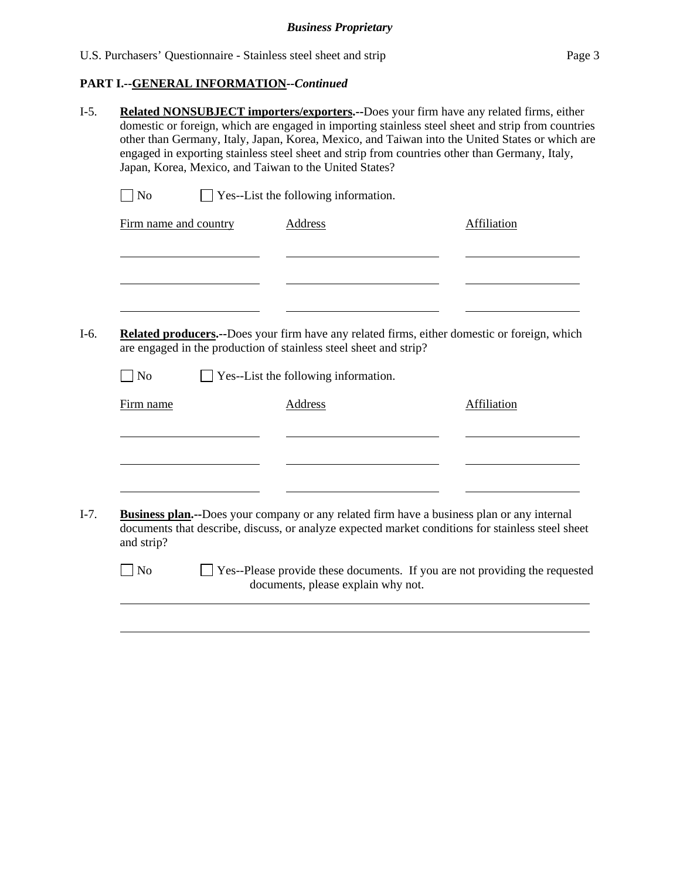## **PART I.--GENERAL INFORMATION***--Continued*

| Japan, Korea, Mexico, and Taiwan to the United States? | Related NONSUBJECT importers/exporters.--Does your firm have any related firms, either<br>domestic or foreign, which are engaged in importing stainless steel sheet and strip from countries<br>other than Germany, Italy, Japan, Korea, Mexico, and Taiwan into the United States or which are<br>engaged in exporting stainless steel sheet and strip from countries other than Germany, Italy, |                    |
|--------------------------------------------------------|---------------------------------------------------------------------------------------------------------------------------------------------------------------------------------------------------------------------------------------------------------------------------------------------------------------------------------------------------------------------------------------------------|--------------------|
| $\neg$ No                                              | Yes--List the following information.                                                                                                                                                                                                                                                                                                                                                              |                    |
| Firm name and country                                  | <b>Address</b>                                                                                                                                                                                                                                                                                                                                                                                    | <b>Affiliation</b> |
|                                                        |                                                                                                                                                                                                                                                                                                                                                                                                   |                    |
|                                                        | <b>Related producers.</b> --Does your firm have any related firms, either domestic or foreign, which<br>are engaged in the production of stainless steel sheet and strip?                                                                                                                                                                                                                         |                    |
| $\exists$ No                                           | Yes--List the following information.                                                                                                                                                                                                                                                                                                                                                              |                    |
| Firm name                                              | Address                                                                                                                                                                                                                                                                                                                                                                                           | Affiliation        |
|                                                        |                                                                                                                                                                                                                                                                                                                                                                                                   |                    |
| and strip?                                             | <b>Business plan.</b> --Does your company or any related firm have a business plan or any internal<br>documents that describe, discuss, or analyze expected market conditions for stainless steel sheet                                                                                                                                                                                           |                    |
|                                                        |                                                                                                                                                                                                                                                                                                                                                                                                   |                    |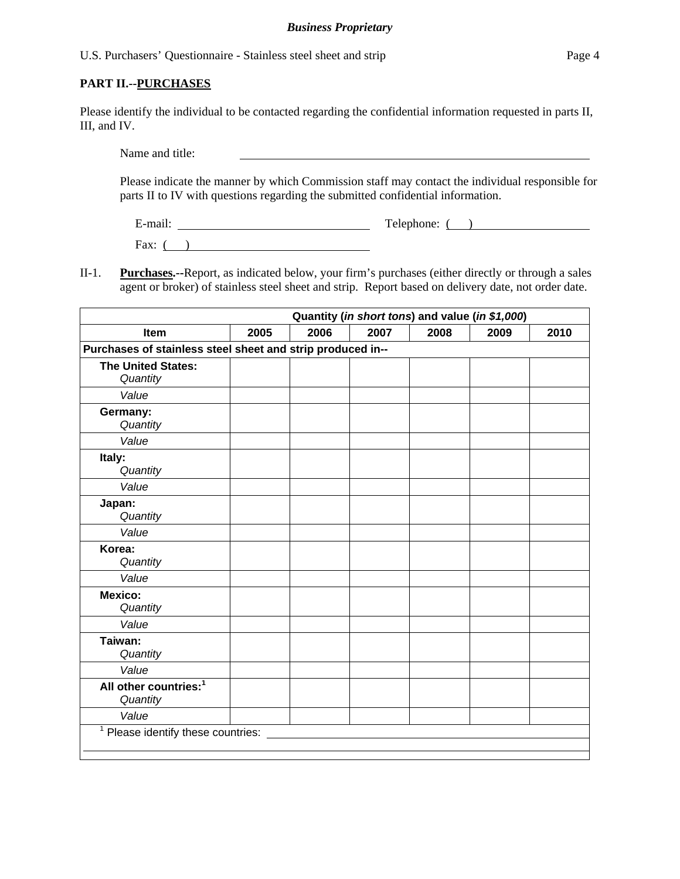U.S. Purchasers' Questionnaire - Stainless steel sheet and strip Page 4

#### **PART II.--PURCHASES**

Please identify the individual to be contacted regarding the confidential information requested in parts II, III, and IV.

Name and title:

Please indicate the manner by which Commission staff may contact the individual responsible for parts II to IV with questions regarding the submitted confidential information.

E-mail: Telephone: ( )

Fax:  $($  )

II-1. **Purchases.--**Report, as indicated below, your firm's purchases (either directly or through a sales agent or broker) of stainless steel sheet and strip. Report based on delivery date, not order date.

| Quantity (in short tons) and value (in \$1,000)            |      |      |      |      |      |      |
|------------------------------------------------------------|------|------|------|------|------|------|
| <b>Item</b>                                                | 2005 | 2006 | 2007 | 2008 | 2009 | 2010 |
| Purchases of stainless steel sheet and strip produced in-- |      |      |      |      |      |      |
| <b>The United States:</b><br>Quantity                      |      |      |      |      |      |      |
| Value                                                      |      |      |      |      |      |      |
| Germany:<br>Quantity                                       |      |      |      |      |      |      |
| Value                                                      |      |      |      |      |      |      |
| Italy:<br>Quantity                                         |      |      |      |      |      |      |
| Value                                                      |      |      |      |      |      |      |
| Japan:<br>Quantity                                         |      |      |      |      |      |      |
| Value                                                      |      |      |      |      |      |      |
| Korea:<br>Quantity                                         |      |      |      |      |      |      |
| Value                                                      |      |      |      |      |      |      |
| <b>Mexico:</b><br>Quantity                                 |      |      |      |      |      |      |
| Value                                                      |      |      |      |      |      |      |
| Taiwan:<br>Quantity                                        |      |      |      |      |      |      |
| Value                                                      |      |      |      |      |      |      |
| All other countries: <sup>1</sup><br>Quantity              |      |      |      |      |      |      |
| Value                                                      |      |      |      |      |      |      |
| <sup>1</sup> Please identify these countries:              |      |      |      |      |      |      |
|                                                            |      |      |      |      |      |      |
|                                                            |      |      |      |      |      |      |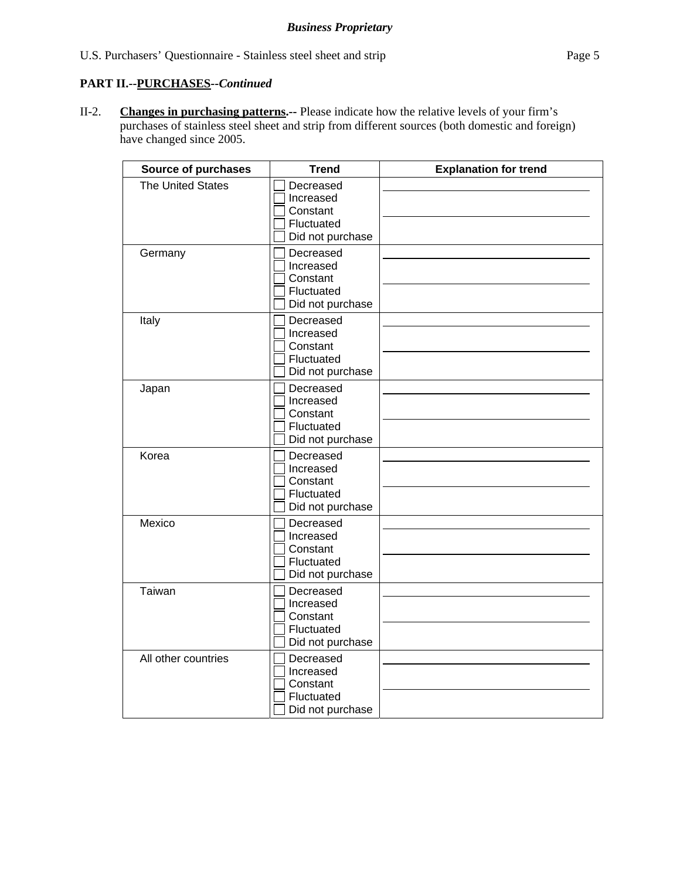## **PART II.--PURCHASES***--Continued*

II-2. **Changes in purchasing patterns.--** Please indicate how the relative levels of your firm's purchases of stainless steel sheet and strip from different sources (both domestic and foreign) have changed since 2005.

| Source of purchases      | <b>Trend</b>                                                         | <b>Explanation for trend</b> |
|--------------------------|----------------------------------------------------------------------|------------------------------|
| <b>The United States</b> | Decreased<br>Increased<br>Constant<br>Fluctuated<br>Did not purchase |                              |
| Germany                  | Decreased<br>Increased<br>Constant<br>Fluctuated<br>Did not purchase |                              |
| Italy                    | Decreased<br>Increased<br>Constant<br>Fluctuated<br>Did not purchase |                              |
| Japan                    | Decreased<br>Increased<br>Constant<br>Fluctuated<br>Did not purchase |                              |
| Korea                    | Decreased<br>Increased<br>Constant<br>Fluctuated<br>Did not purchase |                              |
| Mexico                   | Decreased<br>Increased<br>Constant<br>Fluctuated<br>Did not purchase |                              |
| Taiwan                   | Decreased<br>Increased<br>Constant<br>Fluctuated<br>Did not purchase |                              |
| All other countries      | Decreased<br>Increased<br>Constant<br>Fluctuated<br>Did not purchase |                              |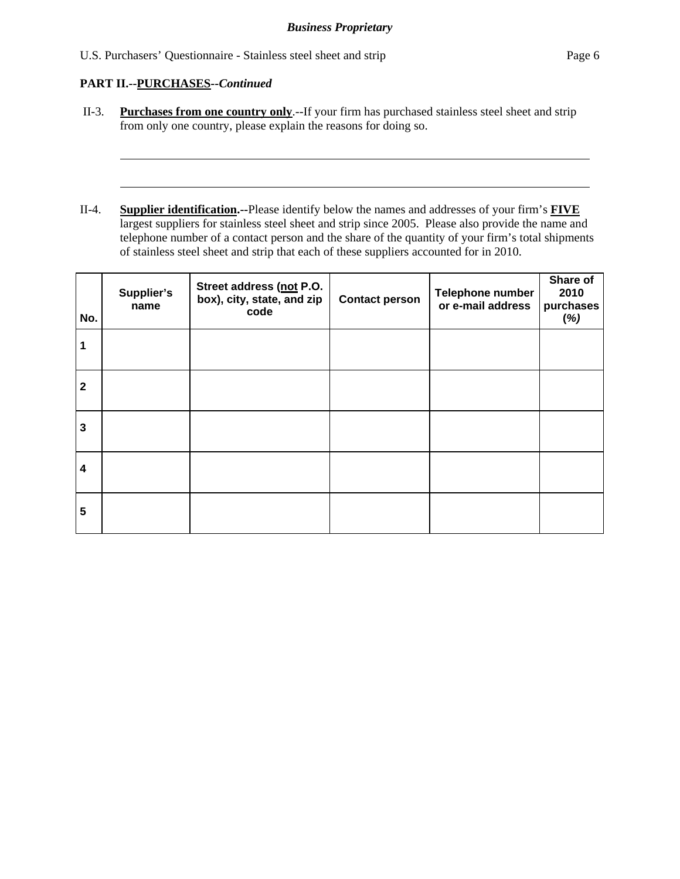U.S. Purchasers' Questionnaire - Stainless steel sheet and strip Page 6

## **PART II.--PURCHASES***--Continued*

 $\overline{a}$ 

 $\overline{a}$ 

- II-3. **Purchases from one country only**.--If your firm has purchased stainless steel sheet and strip from only one country, please explain the reasons for doing so.
- II-4. **Supplier identification.--**Please identify below the names and addresses of your firm's **FIVE** largest suppliers for stainless steel sheet and strip since 2005. Please also provide the name and telephone number of a contact person and the share of the quantity of your firm's total shipments of stainless steel sheet and strip that each of these suppliers accounted for in 2010.

| No.            | Supplier's<br>name | Street address (not P.O.<br>box), city, state, and zip<br>code | <b>Contact person</b> | Telephone number<br>or e-mail address | Share of<br>2010<br>purchases<br>(%) |
|----------------|--------------------|----------------------------------------------------------------|-----------------------|---------------------------------------|--------------------------------------|
| 1              |                    |                                                                |                       |                                       |                                      |
| $\overline{2}$ |                    |                                                                |                       |                                       |                                      |
| 3              |                    |                                                                |                       |                                       |                                      |
| 4              |                    |                                                                |                       |                                       |                                      |
| 5              |                    |                                                                |                       |                                       |                                      |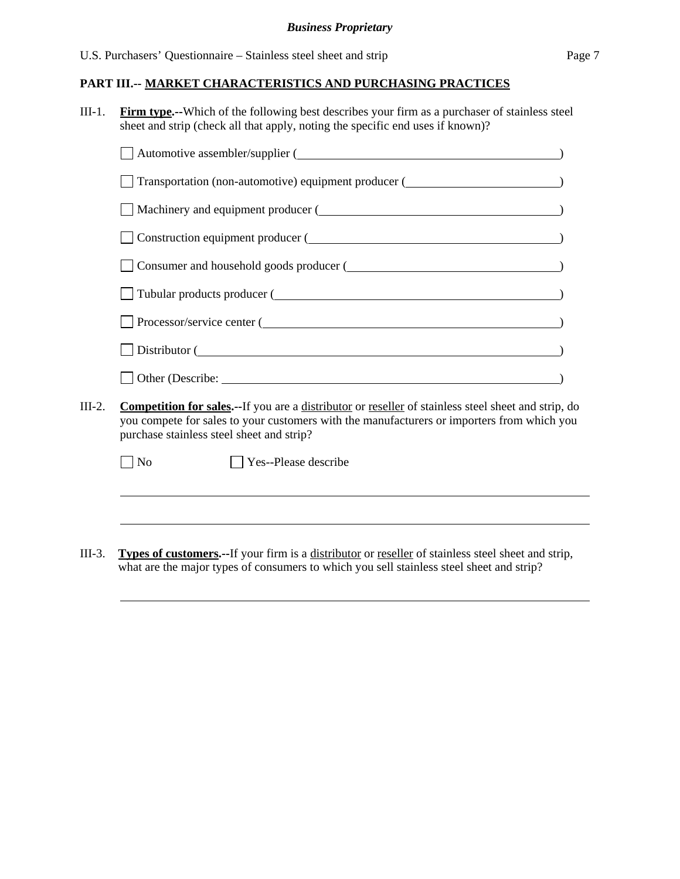U.S. Purchasers' Questionnaire – Stainless steel sheet and strip Page 7

#### **PART III.-- MARKET CHARACTERISTICS AND PURCHASING PRACTICES**

III-1. **Firm type.--**Which of the following best describes your firm as a purchaser of stainless steel sheet and strip (check all that apply, noting the specific end uses if known)?

| Automotive assembler/supplier (                                                                                                                                                                                                      |
|--------------------------------------------------------------------------------------------------------------------------------------------------------------------------------------------------------------------------------------|
| Transportation (non-automotive) equipment producer (                                                                                                                                                                                 |
| Machinery and equipment producer (                                                                                                                                                                                                   |
| Construction equipment producer (                                                                                                                                                                                                    |
| Consumer and household goods producer (                                                                                                                                                                                              |
| Tubular products producer ( <u>Land and a series and a series of the series of the series of the series of the series of the series of the series of the series of the series of the series of the series of the series of the s</u> |
| Processor/service center (                                                                                                                                                                                                           |
| Distributor (                                                                                                                                                                                                                        |
| Other (Describe: <u>contract of</u> the contract of the contract of the contract of the contract of the contract of the contract of the contract of the contract of the contract of the contract of the contract of the contract of  |
|                                                                                                                                                                                                                                      |

III-2. **Competition for sales.--**If you are a distributor or reseller of stainless steel sheet and strip, do you compete for sales to your customers with the manufacturers or importers from which you purchase stainless steel sheet and strip?

No **Yes--Please describe** 

 $\overline{a}$ 

l

III-3. **Types of customers.--**If your firm is a distributor or reseller of stainless steel sheet and strip, what are the major types of consumers to which you sell stainless steel sheet and strip?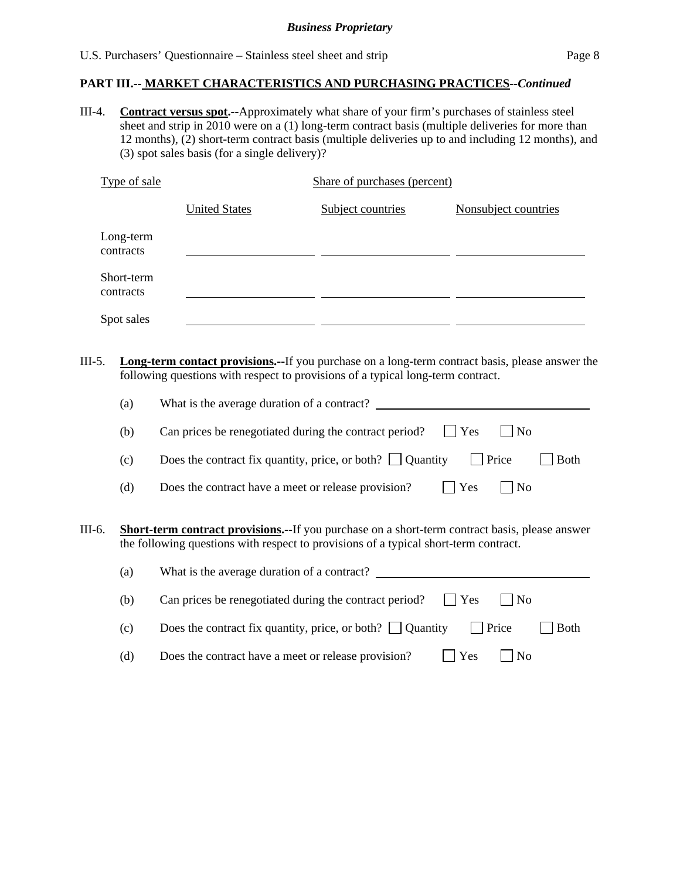III-4. **Contract versus spot.--**Approximately what share of your firm's purchases of stainless steel sheet and strip in 2010 were on a (1) long-term contract basis (multiple deliveries for more than 12 months), (2) short-term contract basis (multiple deliveries up to and including 12 months), and (3) spot sales basis (for a single delivery)?

| Type of sale            |                      | Share of purchases (percent) |                      |
|-------------------------|----------------------|------------------------------|----------------------|
|                         | <b>United States</b> | Subject countries            | Nonsubject countries |
| Long-term<br>contracts  |                      |                              |                      |
| Short-term<br>contracts |                      |                              |                      |
| Spot sales              |                      |                              |                      |

III-5. **Long-term contact provisions.--**If you purchase on a long-term contract basis, please answer the following questions with respect to provisions of a typical long-term contract.

|        | (a)                                                                                                                                                                                            | What is the average duration of a contract?                                      |  |
|--------|------------------------------------------------------------------------------------------------------------------------------------------------------------------------------------------------|----------------------------------------------------------------------------------|--|
|        | (b)                                                                                                                                                                                            | Can prices be renegotiated during the contract period?<br>Yes<br>$ $ No          |  |
|        | (c)                                                                                                                                                                                            | Does the contract fix quantity, price, or both? $\Box$ Quantity<br>Price<br>Both |  |
|        | (d)                                                                                                                                                                                            | Yes<br>$ $ No<br>Does the contract have a meet or release provision?             |  |
| III-6. | <b>Short-term contract provisions.--</b> If you purchase on a short-term contract basis, please answer<br>the following questions with respect to provisions of a typical short-term contract. |                                                                                  |  |
|        | (a)                                                                                                                                                                                            | What is the average duration of a contract?                                      |  |
|        | (b)                                                                                                                                                                                            | Can prices be renegotiated during the contract period?<br>Yes<br>$ $ No          |  |
|        | (c)                                                                                                                                                                                            | Does the contract fix quantity, price, or both? $\Box$ Quantity<br>Price<br>Both |  |
|        | (d)                                                                                                                                                                                            | Yes<br>Does the contract have a meet or release provision?<br>N <sub>o</sub>     |  |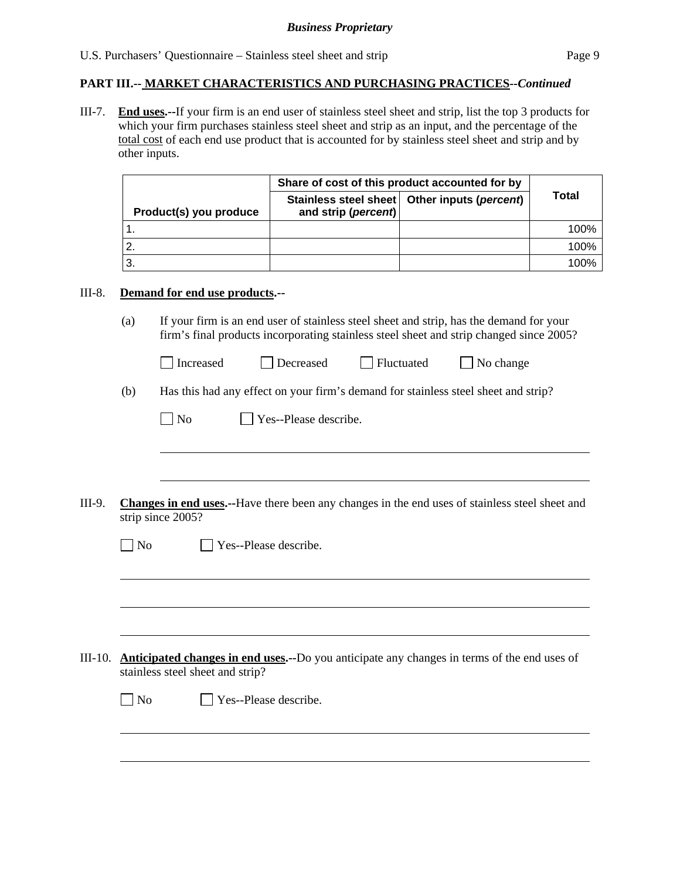III-7. **End uses.--**If your firm is an end user of stainless steel sheet and strip, list the top 3 products for which your firm purchases stainless steel sheet and strip as an input, and the percentage of the total cost of each end use product that is accounted for by stainless steel sheet and strip and by other inputs.

|                        | Share of cost of this product accounted for by |                                                |       |
|------------------------|------------------------------------------------|------------------------------------------------|-------|
| Product(s) you produce | and strip (percent)                            | Stainless steel sheet   Other inputs (percent) | Total |
|                        |                                                |                                                | 100%  |
|                        |                                                |                                                | 100%  |
|                        |                                                |                                                | 100%  |

#### III-8. **Demand for end use products.--**

 $\overline{a}$ 

(a) If your firm is an end user of stainless steel sheet and strip, has the demand for your firm's final products incorporating stainless steel sheet and strip changed since 2005?

| Increased | Decreased | <b>Fluctuated</b> | $\Box$ No change |
|-----------|-----------|-------------------|------------------|
|           |           |                   |                  |

(b) Has this had any effect on your firm's demand for stainless steel sheet and strip?

| $\Box$ No | $\Box$ Yes--Please describe. |
|-----------|------------------------------|
|-----------|------------------------------|

III-9. **Changes in end uses.--**Have there been any changes in the end uses of stainless steel sheet and strip since 2005?

|         | No             | Yes--Please describe.                                                                                                                   |
|---------|----------------|-----------------------------------------------------------------------------------------------------------------------------------------|
|         |                |                                                                                                                                         |
|         |                |                                                                                                                                         |
|         |                |                                                                                                                                         |
| III-10. |                | <b>Anticipated changes in end uses.</b> --Do you anticipate any changes in terms of the end uses of<br>stainless steel sheet and strip? |
|         | $\overline{N}$ | $\vert$ Yes--Please describe.                                                                                                           |
|         |                |                                                                                                                                         |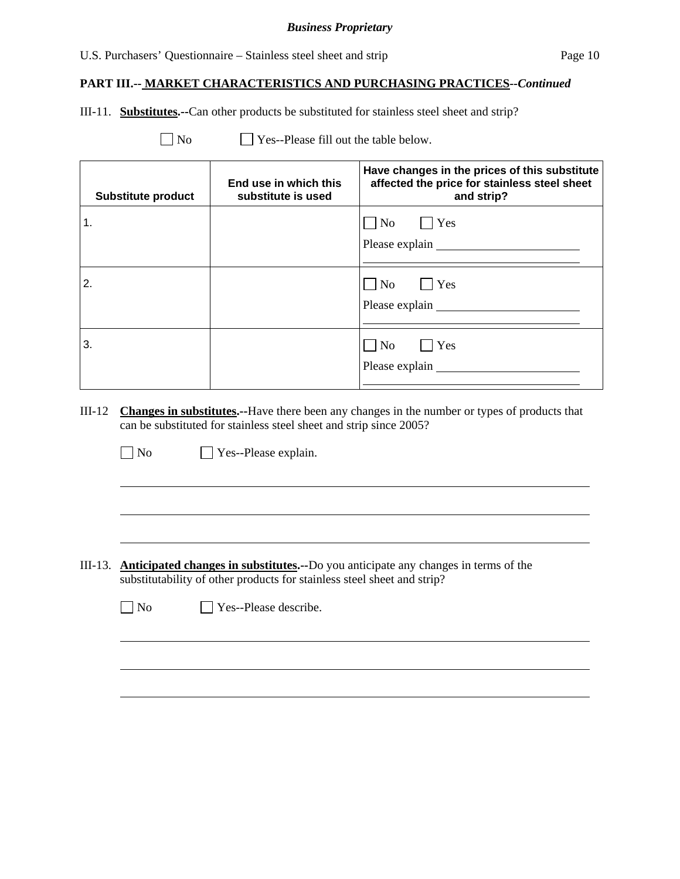## U.S. Purchasers' Questionnaire – Stainless steel sheet and strip Page 10

#### **PART III.-- MARKET CHARACTERISTICS AND PURCHASING PRACTICES***--Continued*

III-11. **Substitutes.--**Can other products be substituted for stainless steel sheet and strip?

 $\Box$  No  $\Box$  Yes--Please fill out the table below.

| <b>Substitute product</b> | End use in which this<br>substitute is used | Have changes in the prices of this substitute<br>affected the price for stainless steel sheet<br>and strip? |
|---------------------------|---------------------------------------------|-------------------------------------------------------------------------------------------------------------|
| 1.                        |                                             | $\begin{array}{ c c c c c } \hline \text{No} & \text{l} & \text{Yes} \\\hline \end{array}$                  |
| 2.                        |                                             | $ $ Yes<br>$\overline{N_{0}}$                                                                               |
| 3.                        |                                             | $\Box$ Yes<br>$\overline{\rm No}$<br>Please explain                                                         |

III-12 **Changes in substitutes.--**Have there been any changes in the number or types of products that can be substituted for stainless steel sheet and strip since 2005?

No Yes--Please explain.

 $\overline{a}$ 

 $\overline{a}$ 

III-13. **Anticipated changes in substitutes.--**Do you anticipate any changes in terms of the substitutability of other products for stainless steel sheet and strip?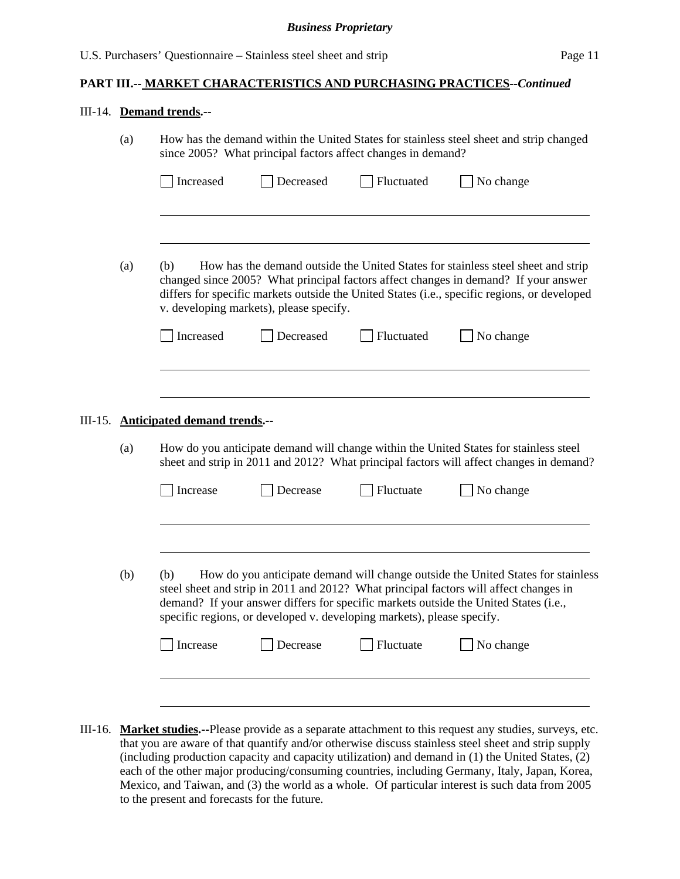#### III-14. **Demand trends.--**

|                                   | (a) |                                                                                                                                                                                                                                                                                                                           |           | since 2005? What principal factors affect changes in demand?           | How has the demand within the United States for stainless steel sheet and strip changed                                                                                                                                                                           |  |
|-----------------------------------|-----|---------------------------------------------------------------------------------------------------------------------------------------------------------------------------------------------------------------------------------------------------------------------------------------------------------------------------|-----------|------------------------------------------------------------------------|-------------------------------------------------------------------------------------------------------------------------------------------------------------------------------------------------------------------------------------------------------------------|--|
|                                   |     | Increased                                                                                                                                                                                                                                                                                                                 | Decreased | Fluctuated                                                             | No change                                                                                                                                                                                                                                                         |  |
|                                   |     |                                                                                                                                                                                                                                                                                                                           |           |                                                                        |                                                                                                                                                                                                                                                                   |  |
|                                   | (a) | (b)<br>How has the demand outside the United States for stainless steel sheet and strip<br>changed since 2005? What principal factors affect changes in demand? If your answer<br>differs for specific markets outside the United States (i.e., specific regions, or developed<br>v. developing markets), please specify. |           |                                                                        |                                                                                                                                                                                                                                                                   |  |
|                                   |     | Increased                                                                                                                                                                                                                                                                                                                 | Decreased | Fluctuated                                                             | No change                                                                                                                                                                                                                                                         |  |
|                                   |     |                                                                                                                                                                                                                                                                                                                           |           |                                                                        |                                                                                                                                                                                                                                                                   |  |
| III-15.                           |     | <b>Anticipated demand trends.--</b>                                                                                                                                                                                                                                                                                       |           |                                                                        |                                                                                                                                                                                                                                                                   |  |
|                                   | (a) |                                                                                                                                                                                                                                                                                                                           |           |                                                                        | How do you anticipate demand will change within the United States for stainless steel<br>sheet and strip in 2011 and 2012? What principal factors will affect changes in demand?                                                                                  |  |
| Increase<br>Fluctuate<br>Decrease |     |                                                                                                                                                                                                                                                                                                                           |           |                                                                        | No change                                                                                                                                                                                                                                                         |  |
|                                   |     |                                                                                                                                                                                                                                                                                                                           |           |                                                                        |                                                                                                                                                                                                                                                                   |  |
|                                   | (b) | (b)                                                                                                                                                                                                                                                                                                                       |           | specific regions, or developed v. developing markets), please specify. | How do you anticipate demand will change outside the United States for stainless<br>steel sheet and strip in 2011 and 2012? What principal factors will affect changes in<br>demand? If your answer differs for specific markets outside the United States (i.e., |  |
|                                   |     | Increase                                                                                                                                                                                                                                                                                                                  | Decrease  | Fluctuate                                                              | No change                                                                                                                                                                                                                                                         |  |
|                                   |     |                                                                                                                                                                                                                                                                                                                           |           |                                                                        |                                                                                                                                                                                                                                                                   |  |
|                                   |     |                                                                                                                                                                                                                                                                                                                           |           |                                                                        |                                                                                                                                                                                                                                                                   |  |

III-16. **Market studies.--**Please provide as a separate attachment to this request any studies, surveys, etc. that you are aware of that quantify and/or otherwise discuss stainless steel sheet and strip supply (including production capacity and capacity utilization) and demand in (1) the United States, (2) each of the other major producing/consuming countries, including Germany, Italy, Japan, Korea, Mexico, and Taiwan, and (3) the world as a whole. Of particular interest is such data from 2005 to the present and forecasts for the future.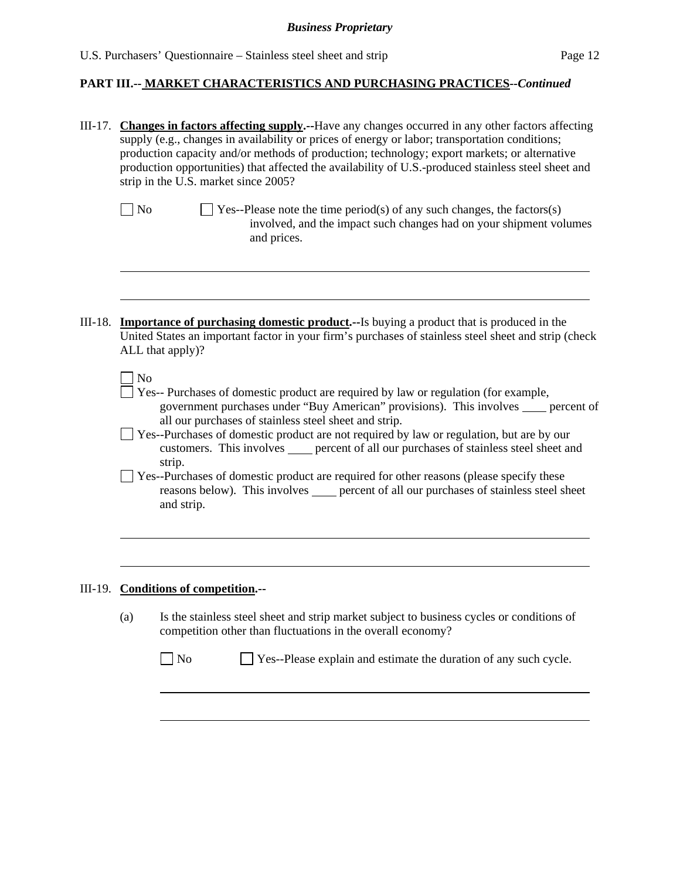| III-17. Changes in factors affecting supply.--Have any changes occurred in any other factors affecting<br>supply (e.g., changes in availability or prices of energy or labor; transportation conditions;<br>production capacity and/or methods of production; technology; export markets; or alternative<br>production opportunities) that affected the availability of U.S.-produced stainless steel sheet and<br>strip in the U.S. market since 2005? |                                                                                                                                                                                                    |  |  |  |  |
|---------------------------------------------------------------------------------------------------------------------------------------------------------------------------------------------------------------------------------------------------------------------------------------------------------------------------------------------------------------------------------------------------------------------------------------------------------|----------------------------------------------------------------------------------------------------------------------------------------------------------------------------------------------------|--|--|--|--|
| $\big]$ No                                                                                                                                                                                                                                                                                                                                                                                                                                              | $\vert$ Yes--Please note the time period(s) of any such changes, the factors(s)<br>involved, and the impact such changes had on your shipment volumes<br>and prices.                               |  |  |  |  |
| <b>Importance of purchasing domestic product.</b> --Is buying a product that is produced in the<br>United States an important factor in your firm's purchases of stainless steel sheet and strip (check<br>ALL that apply)?                                                                                                                                                                                                                             |                                                                                                                                                                                                    |  |  |  |  |
| N <sub>o</sub><br>Yes-- Purchases of domestic product are required by law or regulation (for example,<br>government purchases under "Buy American" provisions). This involves _____ percent of<br>all our purchases of stainless steel sheet and strip.<br>Yes--Purchases of domestic product are not required by law or regulation, but are by our<br>customers. This involves error of all our purchases of stainless steel sheet and<br>strip.       |                                                                                                                                                                                                    |  |  |  |  |
|                                                                                                                                                                                                                                                                                                                                                                                                                                                         | Yes--Purchases of domestic product are required for other reasons (please specify these<br>reasons below). This involves _____ percent of all our purchases of stainless steel sheet<br>and strip. |  |  |  |  |
| III-19. Conditions of competition.--                                                                                                                                                                                                                                                                                                                                                                                                                    |                                                                                                                                                                                                    |  |  |  |  |
| (a)                                                                                                                                                                                                                                                                                                                                                                                                                                                     | Is the stainless steel sheet and strip market subject to business cycles or conditions of<br>competition other than fluctuations in the overall economy?                                           |  |  |  |  |
|                                                                                                                                                                                                                                                                                                                                                                                                                                                         | $\Box$ No<br>Yes--Please explain and estimate the duration of any such cycle.                                                                                                                      |  |  |  |  |
|                                                                                                                                                                                                                                                                                                                                                                                                                                                         |                                                                                                                                                                                                    |  |  |  |  |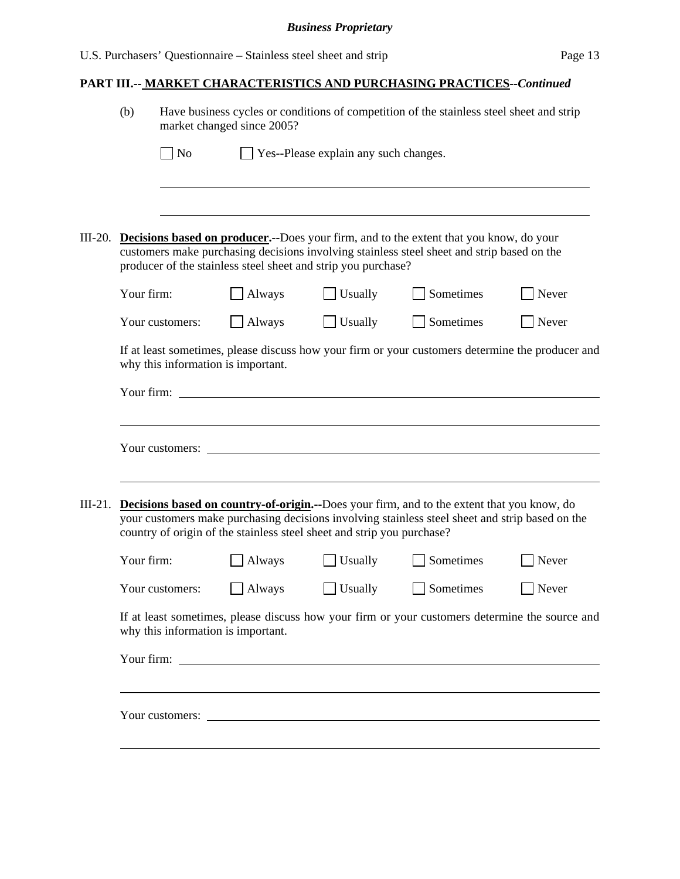|           | (b)                                                                                                                                                                                                                                                                     | Have business cycles or conditions of competition of the stainless steel sheet and strip<br>market changed since 2005? |                                    |                                                               |                                                                                                                                                                                              |       |  |
|-----------|-------------------------------------------------------------------------------------------------------------------------------------------------------------------------------------------------------------------------------------------------------------------------|------------------------------------------------------------------------------------------------------------------------|------------------------------------|---------------------------------------------------------------|----------------------------------------------------------------------------------------------------------------------------------------------------------------------------------------------|-------|--|
|           |                                                                                                                                                                                                                                                                         | $\rfloor$ No                                                                                                           |                                    | Yes--Please explain any such changes.                         |                                                                                                                                                                                              |       |  |
|           |                                                                                                                                                                                                                                                                         |                                                                                                                        |                                    |                                                               |                                                                                                                                                                                              |       |  |
| III-20.   |                                                                                                                                                                                                                                                                         |                                                                                                                        |                                    | producer of the stainless steel sheet and strip you purchase? | <b>Decisions based on producer.</b> --Does your firm, and to the extent that you know, do your<br>customers make purchasing decisions involving stainless steel sheet and strip based on the |       |  |
|           | Your firm:                                                                                                                                                                                                                                                              |                                                                                                                        | Always                             | Usually                                                       | Sometimes                                                                                                                                                                                    | Never |  |
|           |                                                                                                                                                                                                                                                                         | Your customers:                                                                                                        | Always                             | Usually                                                       | Sometimes                                                                                                                                                                                    | Never |  |
|           |                                                                                                                                                                                                                                                                         |                                                                                                                        | why this information is important. | Your firm:                                                    | If at least sometimes, please discuss how your firm or your customers determine the producer and                                                                                             |       |  |
|           |                                                                                                                                                                                                                                                                         |                                                                                                                        |                                    |                                                               |                                                                                                                                                                                              |       |  |
|           |                                                                                                                                                                                                                                                                         | Your customers:                                                                                                        |                                    | <u> 1980 - John Stein, Amerikaansk politiker (</u>            |                                                                                                                                                                                              |       |  |
| $III-21.$ | Decisions based on country-of-origin.--Does your firm, and to the extent that you know, do<br>your customers make purchasing decisions involving stainless steel sheet and strip based on the<br>country of origin of the stainless steel sheet and strip you purchase? |                                                                                                                        |                                    |                                                               |                                                                                                                                                                                              |       |  |
|           | Your firm:                                                                                                                                                                                                                                                              |                                                                                                                        | Always                             | Usually                                                       | Sometimes                                                                                                                                                                                    | Never |  |
|           |                                                                                                                                                                                                                                                                         | Your customers:                                                                                                        | Always                             | Usually                                                       | Sometimes                                                                                                                                                                                    | Never |  |
|           | If at least sometimes, please discuss how your firm or your customers determine the source and<br>why this information is important.                                                                                                                                    |                                                                                                                        |                                    |                                                               |                                                                                                                                                                                              |       |  |
|           |                                                                                                                                                                                                                                                                         |                                                                                                                        |                                    |                                                               |                                                                                                                                                                                              |       |  |
|           |                                                                                                                                                                                                                                                                         |                                                                                                                        |                                    |                                                               | Your customers:                                                                                                                                                                              |       |  |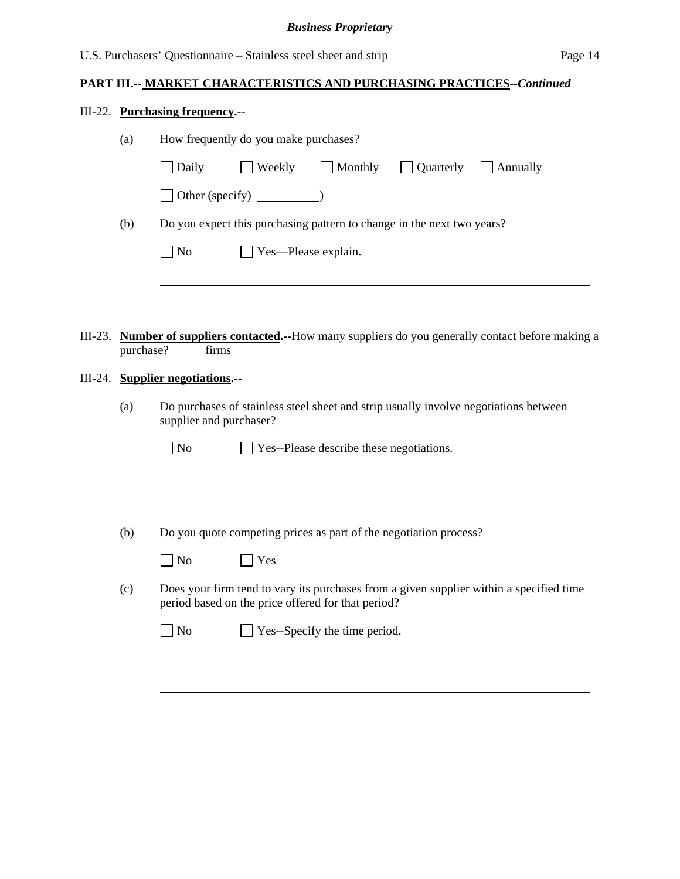|                                                                                                                        |                                                                        | III-22. Purchasing frequency.--                                                                                                               |  |  |  |  |  |  |
|------------------------------------------------------------------------------------------------------------------------|------------------------------------------------------------------------|-----------------------------------------------------------------------------------------------------------------------------------------------|--|--|--|--|--|--|
|                                                                                                                        | (a)                                                                    | How frequently do you make purchases?                                                                                                         |  |  |  |  |  |  |
|                                                                                                                        |                                                                        | $\exists$ Weekly $\Box$ Monthly<br>$\Box$ Quarterly $\Box$ Annually<br>Daily                                                                  |  |  |  |  |  |  |
|                                                                                                                        |                                                                        | $\Box$ Other (specify) $\Box$ )                                                                                                               |  |  |  |  |  |  |
|                                                                                                                        | Do you expect this purchasing pattern to change in the next two years? |                                                                                                                                               |  |  |  |  |  |  |
|                                                                                                                        | $\Box$ No<br>$\Box$ Yes—Please explain.                                |                                                                                                                                               |  |  |  |  |  |  |
|                                                                                                                        |                                                                        |                                                                                                                                               |  |  |  |  |  |  |
|                                                                                                                        |                                                                        |                                                                                                                                               |  |  |  |  |  |  |
| III-23.                                                                                                                |                                                                        | Number of suppliers contacted.--How many suppliers do you generally contact before making a<br>purchase? _______ firms                        |  |  |  |  |  |  |
|                                                                                                                        |                                                                        | III-24. Supplier negotiations.--                                                                                                              |  |  |  |  |  |  |
| Do purchases of stainless steel sheet and strip usually involve negotiations between<br>(a)<br>supplier and purchaser? |                                                                        |                                                                                                                                               |  |  |  |  |  |  |
|                                                                                                                        |                                                                        | $\Box$ No<br>$\Box$ Yes--Please describe these negotiations.                                                                                  |  |  |  |  |  |  |
|                                                                                                                        |                                                                        |                                                                                                                                               |  |  |  |  |  |  |
|                                                                                                                        | (b)                                                                    | Do you quote competing prices as part of the negotiation process?                                                                             |  |  |  |  |  |  |
|                                                                                                                        |                                                                        | No<br>Yes                                                                                                                                     |  |  |  |  |  |  |
|                                                                                                                        | (c)                                                                    | Does your firm tend to vary its purchases from a given supplier within a specified time<br>period based on the price offered for that period? |  |  |  |  |  |  |
|                                                                                                                        |                                                                        | Yes--Specify the time period.<br>$\Box$ No                                                                                                    |  |  |  |  |  |  |
|                                                                                                                        |                                                                        |                                                                                                                                               |  |  |  |  |  |  |
|                                                                                                                        |                                                                        |                                                                                                                                               |  |  |  |  |  |  |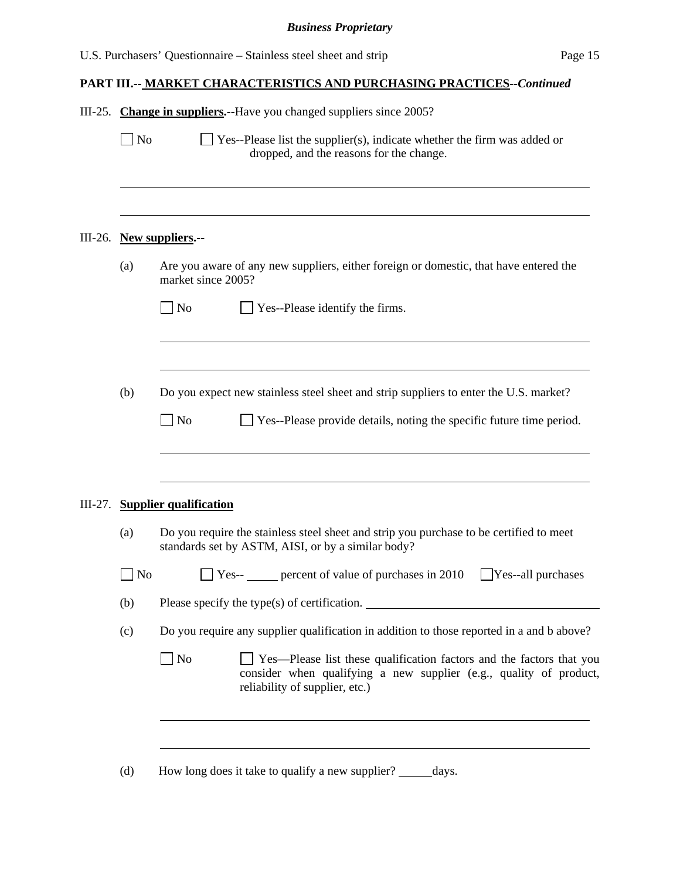| Are you aware of any new suppliers, either foreign or domestic, that have entered the                                                                         |
|---------------------------------------------------------------------------------------------------------------------------------------------------------------|
|                                                                                                                                                               |
|                                                                                                                                                               |
|                                                                                                                                                               |
| Do you expect new stainless steel sheet and strip suppliers to enter the U.S. market?<br>Yes--Please provide details, noting the specific future time period. |
|                                                                                                                                                               |
| Do you require the stainless steel sheet and strip you purchase to be certified to meet                                                                       |
| $\exists$ Yes--all purchases                                                                                                                                  |
|                                                                                                                                                               |
| Do you require any supplier qualification in addition to those reported in a and b above?                                                                     |
| Yes—Please list these qualification factors and the factors that you<br>consider when qualifying a new supplier (e.g., quality of product,                    |
| $\Box$ Yes-- $\Box$ percent of value of purchases in 2010                                                                                                     |

(d) How long does it take to qualify a new supplier?  $\_\_\_\_\_days$ .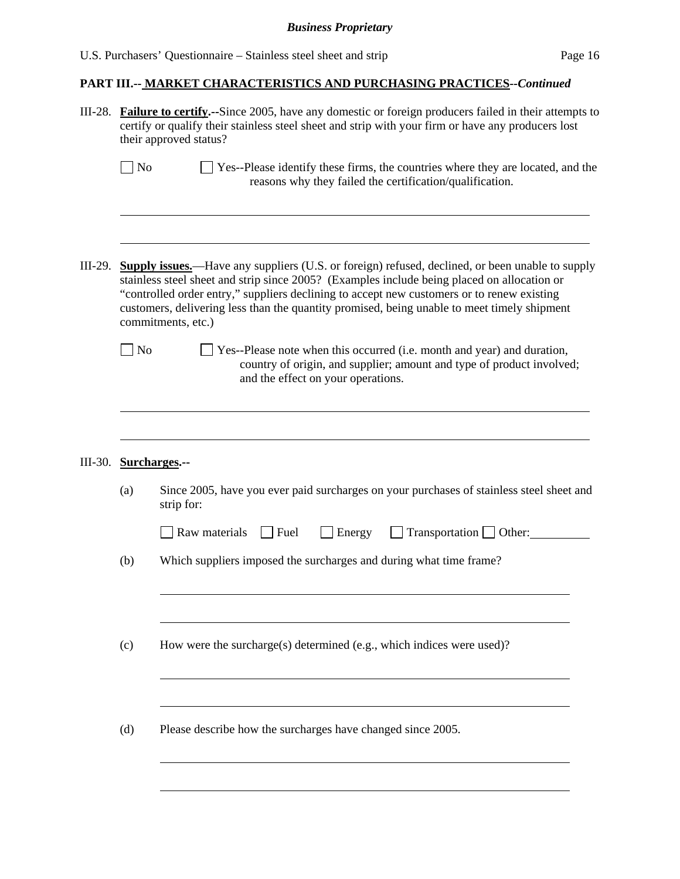|  |  | U.S. Purchasers' Questionnaire – Stainless steel sheet and strip | Page 16 |
|--|--|------------------------------------------------------------------|---------|
|--|--|------------------------------------------------------------------|---------|

|         | III-28. <b>Failure to certify.</b> --Since 2005, have any domestic or foreign producers failed in their attempts to<br>certify or qualify their stainless steel sheet and strip with your firm or have any producers lost<br>their approved status?                                                                                                                                                                       |                                                                                                                                                                                        |  |  |  |  |
|---------|---------------------------------------------------------------------------------------------------------------------------------------------------------------------------------------------------------------------------------------------------------------------------------------------------------------------------------------------------------------------------------------------------------------------------|----------------------------------------------------------------------------------------------------------------------------------------------------------------------------------------|--|--|--|--|
|         | N <sub>o</sub>                                                                                                                                                                                                                                                                                                                                                                                                            | Yes--Please identify these firms, the countries where they are located, and the<br>reasons why they failed the certification/qualification.                                            |  |  |  |  |
| III-29. | <b>Supply issues.</b> —Have any suppliers (U.S. or foreign) refused, declined, or been unable to supply<br>stainless steel sheet and strip since 2005? (Examples include being placed on allocation or<br>"controlled order entry," suppliers declining to accept new customers or to renew existing<br>customers, delivering less than the quantity promised, being unable to meet timely shipment<br>commitments, etc.) |                                                                                                                                                                                        |  |  |  |  |
|         | N <sub>o</sub>                                                                                                                                                                                                                                                                                                                                                                                                            | Yes--Please note when this occurred (i.e. month and year) and duration,<br>country of origin, and supplier; amount and type of product involved;<br>and the effect on your operations. |  |  |  |  |
|         | III-30. Surcharges.--                                                                                                                                                                                                                                                                                                                                                                                                     |                                                                                                                                                                                        |  |  |  |  |
|         | (a)                                                                                                                                                                                                                                                                                                                                                                                                                       | Since 2005, have you ever paid surcharges on your purchases of stainless steel sheet and<br>strip for:                                                                                 |  |  |  |  |
|         |                                                                                                                                                                                                                                                                                                                                                                                                                           | Raw materials<br>$ $ Fuel<br>$Transportation$ $\Box$ Other:<br>Energy                                                                                                                  |  |  |  |  |
|         | (b)                                                                                                                                                                                                                                                                                                                                                                                                                       | Which suppliers imposed the surcharges and during what time frame?                                                                                                                     |  |  |  |  |
|         | (c)                                                                                                                                                                                                                                                                                                                                                                                                                       | How were the surcharge(s) determined (e.g., which indices were used)?                                                                                                                  |  |  |  |  |
|         | (d)                                                                                                                                                                                                                                                                                                                                                                                                                       | Please describe how the surcharges have changed since 2005.                                                                                                                            |  |  |  |  |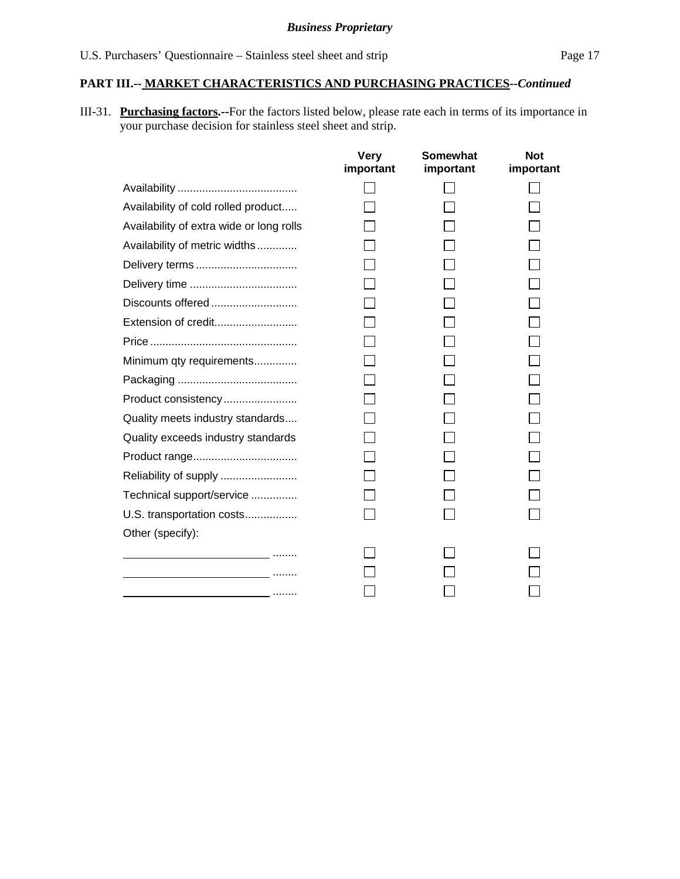III-31. **Purchasing factors.--**For the factors listed below, please rate each in terms of its importance in your purchase decision for stainless steel sheet and strip.

|                                                  | <b>Very</b><br>important | <b>Somewhat</b><br>important | <b>Not</b><br>important |
|--------------------------------------------------|--------------------------|------------------------------|-------------------------|
|                                                  |                          |                              |                         |
| Availability of cold rolled product              |                          |                              |                         |
| Availability of extra wide or long rolls         |                          |                              |                         |
| Availability of metric widths                    |                          |                              |                         |
|                                                  |                          |                              |                         |
|                                                  |                          |                              |                         |
| Discounts offered                                |                          |                              |                         |
| Extension of credit                              |                          |                              |                         |
|                                                  |                          |                              |                         |
| Minimum qty requirements                         |                          |                              |                         |
|                                                  |                          |                              |                         |
| Product consistency                              |                          |                              |                         |
| Quality meets industry standards                 |                          |                              |                         |
| Quality exceeds industry standards               |                          |                              |                         |
|                                                  |                          |                              |                         |
| Reliability of supply                            |                          |                              |                         |
| Technical support/service                        |                          |                              |                         |
| U.S. transportation costs                        |                          |                              |                         |
| Other (specify):                                 |                          |                              |                         |
| <u> 1989 - Johann Barbara, martin al-Barbara</u> |                          |                              |                         |
|                                                  |                          |                              |                         |
|                                                  |                          |                              |                         |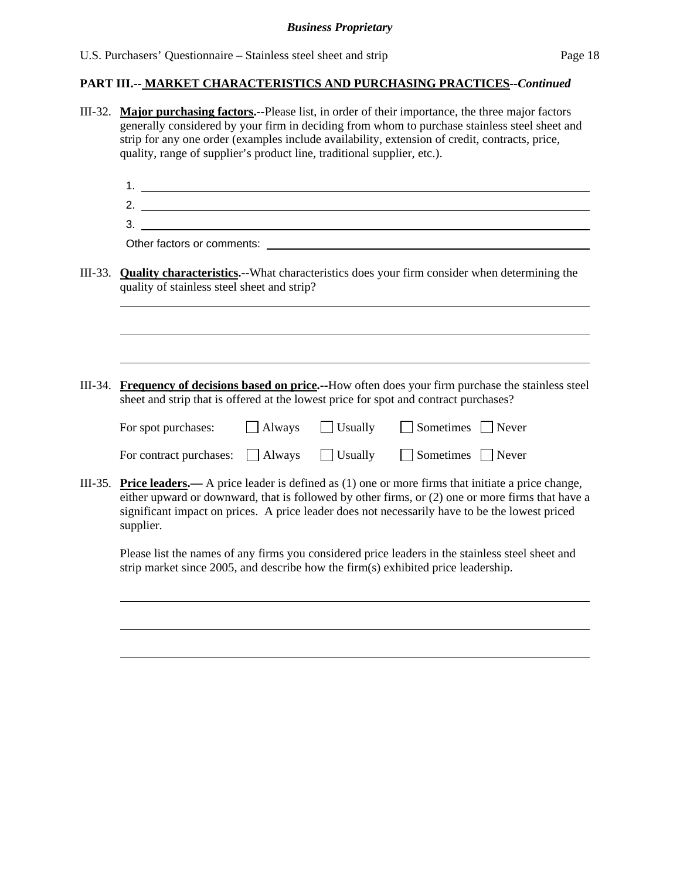III-32. **Major purchasing factors.--**Please list, in order of their importance, the three major factors generally considered by your firm in deciding from whom to purchase stainless steel sheet and strip for any one order (examples include availability, extension of credit, contracts, price, quality, range of supplier's product line, traditional supplier, etc.). 1. 2. 3. Other factors or comments:<br>
Solid and the set of the set of the set of the set of the set of the set of the set of the set of the set of the set of the set of the set of the set of the set of the set of the set of the set III-33. **Quality characteristics.--**What characteristics does your firm consider when determining the quality of stainless steel sheet and strip? l III-34. **Frequency of decisions based on price.--**How often does your firm purchase the stainless steel sheet and strip that is offered at the lowest price for spot and contract purchases? For spot purchases:  $\Box$  Always  $\Box$  Usually  $\Box$  Sometimes  $\Box$  Never For contract purchases:  $\Box$  Always  $\Box$  Usually  $\Box$  Sometimes  $\Box$  Never III-35. **Price leaders.—** A price leader is defined as (1) one or more firms that initiate a price change, either upward or downward, that is followed by other firms, or (2) one or more firms that have a significant impact on prices. A price leader does not necessarily have to be the lowest priced supplier. Please list the names of any firms you considered price leaders in the stainless steel sheet and strip market since 2005, and describe how the firm(s) exhibited price leadership. l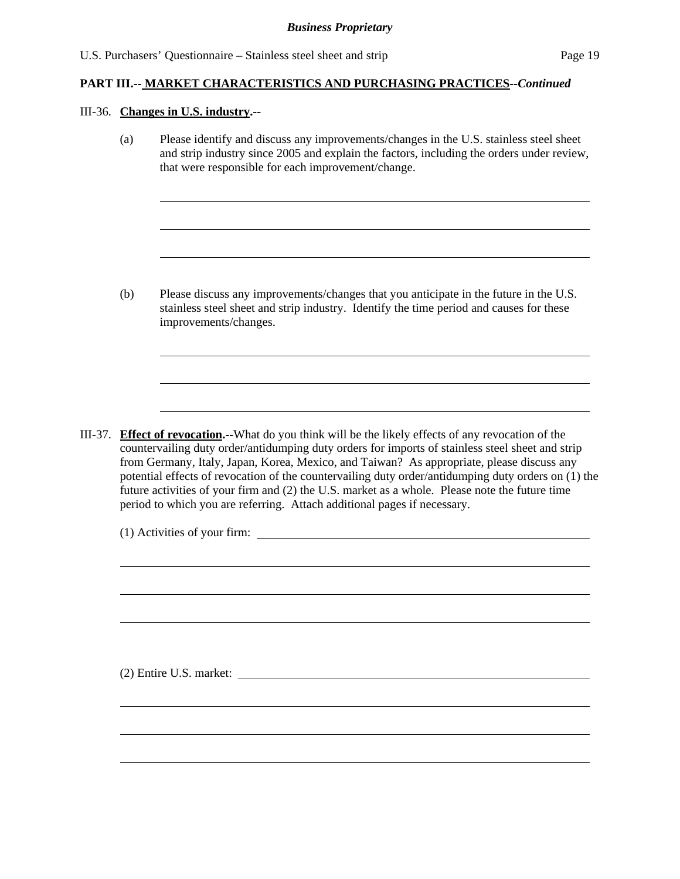#### III-36. **Changes in U.S. industry.--**

l

 $\overline{a}$ 

(a) Please identify and discuss any improvements/changes in the U.S. stainless steel sheet and strip industry since 2005 and explain the factors, including the orders under review, that were responsible for each improvement/change.

(b) Please discuss any improvements/changes that you anticipate in the future in the U.S. stainless steel sheet and strip industry. Identify the time period and causes for these improvements/changes.

III-37. **Effect of revocation.--**What do you think will be the likely effects of any revocation of the countervailing duty order/antidumping duty orders for imports of stainless steel sheet and strip from Germany, Italy, Japan, Korea, Mexico, and Taiwan? As appropriate, please discuss any potential effects of revocation of the countervailing duty order/antidumping duty orders on (1) the future activities of your firm and (2) the U.S. market as a whole. Please note the future time period to which you are referring. Attach additional pages if necessary.

(1) Activities of your firm:

(2) Entire U.S. market: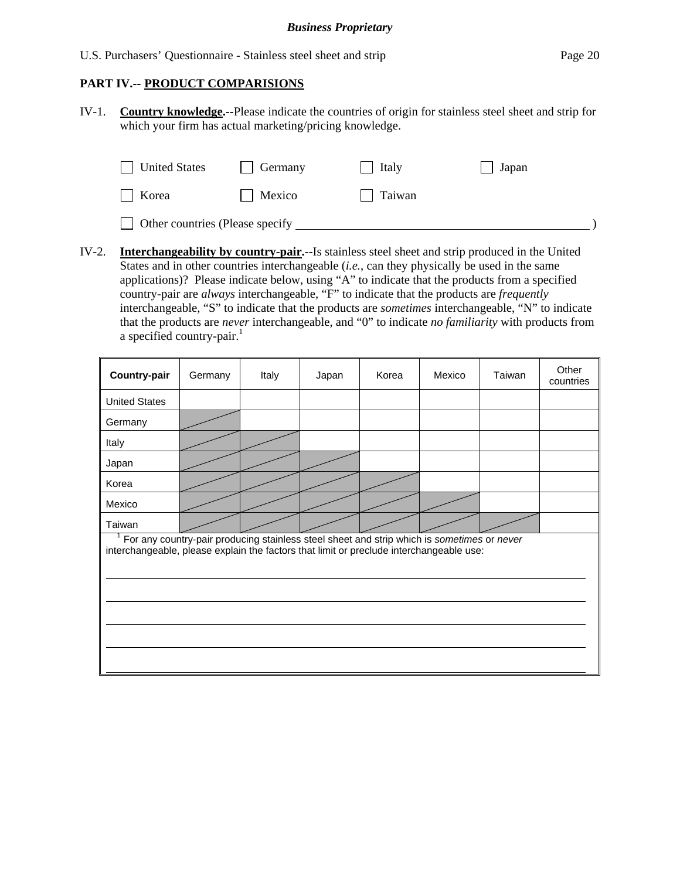## **PART IV.-- PRODUCT COMPARISIONS**

IV-1. **Country knowledge.--**Please indicate the countries of origin for stainless steel sheet and strip for which your firm has actual marketing/pricing knowledge.

| <b>United States</b>            | <b>Germany</b> | Italy  | Japan |
|---------------------------------|----------------|--------|-------|
| Korea                           | Mexico         | Taiwan |       |
| Other countries (Please specify |                |        |       |

IV-2. **Interchangeability by country-pair.--**Is stainless steel sheet and strip produced in the United States and in other countries interchangeable (*i.e.*, can they physically be used in the same applications)? Please indicate below, using "A" to indicate that the products from a specified country-pair are *always* interchangeable, "F" to indicate that the products are *frequently* interchangeable, "S" to indicate that the products are *sometimes* interchangeable, "N" to indicate that the products are *never* interchangeable, and "0" to indicate *no familiarity* with products from a specified country-pair. $<sup>1</sup>$ </sup>

| <b>Country-pair</b>                                                                                                                                                                   | Germany | Italy | Japan | Korea | Mexico | Taiwan | Other<br>countries |  |  |
|---------------------------------------------------------------------------------------------------------------------------------------------------------------------------------------|---------|-------|-------|-------|--------|--------|--------------------|--|--|
| <b>United States</b>                                                                                                                                                                  |         |       |       |       |        |        |                    |  |  |
| Germany                                                                                                                                                                               |         |       |       |       |        |        |                    |  |  |
| Italy                                                                                                                                                                                 |         |       |       |       |        |        |                    |  |  |
| Japan                                                                                                                                                                                 |         |       |       |       |        |        |                    |  |  |
| Korea                                                                                                                                                                                 |         |       |       |       |        |        |                    |  |  |
| Mexico                                                                                                                                                                                |         |       |       |       |        |        |                    |  |  |
| Taiwan                                                                                                                                                                                |         |       |       |       |        |        |                    |  |  |
| For any country-pair producing stainless steel sheet and strip which is sometimes or never<br>interchangeable, please explain the factors that limit or preclude interchangeable use: |         |       |       |       |        |        |                    |  |  |
|                                                                                                                                                                                       |         |       |       |       |        |        |                    |  |  |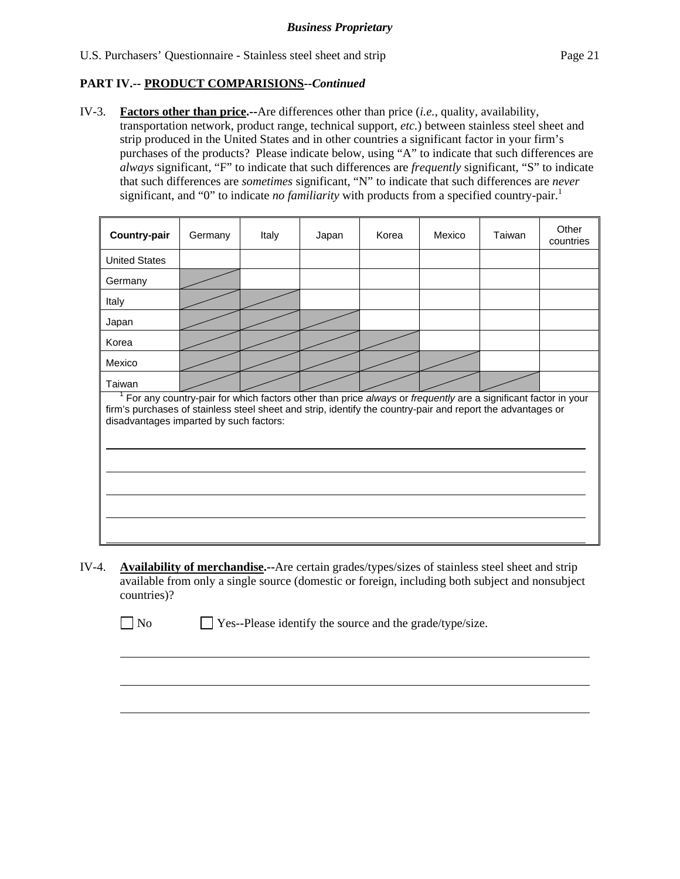## **PART IV.-- PRODUCT COMPARISIONS***--Continued*

IV-3. **Factors other than price.--**Are differences other than price (*i.e.*, quality, availability, transportation network, product range, technical support, *etc.*) between stainless steel sheet and strip produced in the United States and in other countries a significant factor in your firm's purchases of the products? Please indicate below, using "A" to indicate that such differences are *always* significant, "F" to indicate that such differences are *frequently* significant, "S" to indicate that such differences are *sometimes* significant, "N" to indicate that such differences are *never* significant, and "0" to indicate *no familiarity* with products from a specified country-pair.<sup>1</sup>

| Country-pair                                                                                                                                                                                                                                                            | Germany | Italy | Japan | Korea | Mexico | Taiwan | Other<br>countries |  |  |
|-------------------------------------------------------------------------------------------------------------------------------------------------------------------------------------------------------------------------------------------------------------------------|---------|-------|-------|-------|--------|--------|--------------------|--|--|
| <b>United States</b>                                                                                                                                                                                                                                                    |         |       |       |       |        |        |                    |  |  |
| Germany                                                                                                                                                                                                                                                                 |         |       |       |       |        |        |                    |  |  |
| Italy                                                                                                                                                                                                                                                                   |         |       |       |       |        |        |                    |  |  |
| Japan                                                                                                                                                                                                                                                                   |         |       |       |       |        |        |                    |  |  |
| Korea                                                                                                                                                                                                                                                                   |         |       |       |       |        |        |                    |  |  |
| Mexico                                                                                                                                                                                                                                                                  |         |       |       |       |        |        |                    |  |  |
| Taiwan                                                                                                                                                                                                                                                                  |         |       |       |       |        |        |                    |  |  |
| For any country-pair for which factors other than price always or frequently are a significant factor in your<br>firm's purchases of stainless steel sheet and strip, identify the country-pair and report the advantages or<br>disadvantages imparted by such factors: |         |       |       |       |        |        |                    |  |  |
|                                                                                                                                                                                                                                                                         |         |       |       |       |        |        |                    |  |  |
|                                                                                                                                                                                                                                                                         |         |       |       |       |        |        |                    |  |  |
|                                                                                                                                                                                                                                                                         |         |       |       |       |        |        |                    |  |  |

IV-4. **Availability of merchandise.--**Are certain grades/types/sizes of stainless steel sheet and strip available from only a single source (domestic or foreign, including both subject and nonsubject countries)?

No Ses--Please identify the source and the grade/type/size.

 $\overline{a}$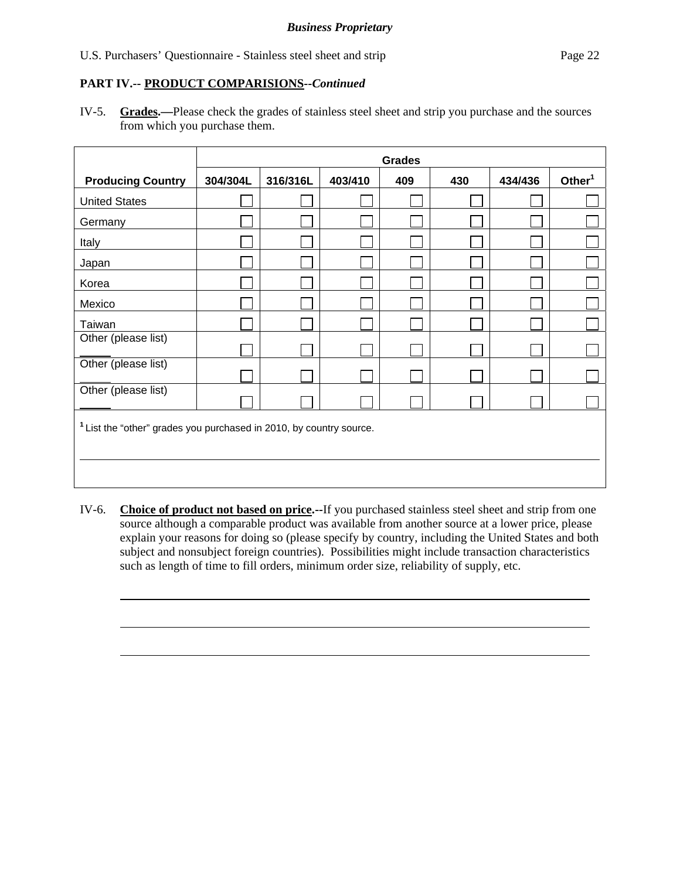U.S. Purchasers' Questionnaire - Stainless steel sheet and strip Page 22

## **PART IV.-- PRODUCT COMPARISIONS***--Continued*

 $\overline{a}$ 

IV-5. **Grades.—**Please check the grades of stainless steel sheet and strip you purchase and the sources from which you purchase them.

|                                                                                | <b>Grades</b> |          |         |     |     |         |           |  |  |
|--------------------------------------------------------------------------------|---------------|----------|---------|-----|-----|---------|-----------|--|--|
| <b>Producing Country</b>                                                       | 304/304L      | 316/316L | 403/410 | 409 | 430 | 434/436 | Other $1$ |  |  |
| <b>United States</b>                                                           |               |          |         |     |     |         |           |  |  |
| Germany                                                                        |               |          |         |     |     |         |           |  |  |
| Italy                                                                          |               |          |         |     |     |         |           |  |  |
| Japan                                                                          |               |          |         |     |     |         |           |  |  |
| Korea                                                                          |               |          |         |     |     |         |           |  |  |
| Mexico                                                                         |               |          |         |     |     |         |           |  |  |
| Taiwan                                                                         |               |          |         |     |     |         |           |  |  |
| Other (please list)                                                            |               |          |         |     |     |         |           |  |  |
| Other (please list)                                                            |               |          |         |     |     |         |           |  |  |
| Other (please list)                                                            |               |          |         |     |     |         |           |  |  |
| <sup>1</sup> List the "other" grades you purchased in 2010, by country source. |               |          |         |     |     |         |           |  |  |

IV-6. **Choice of product not based on price.--**If you purchased stainless steel sheet and strip from one source although a comparable product was available from another source at a lower price, please explain your reasons for doing so (please specify by country, including the United States and both subject and nonsubject foreign countries). Possibilities might include transaction characteristics such as length of time to fill orders, minimum order size, reliability of supply, etc.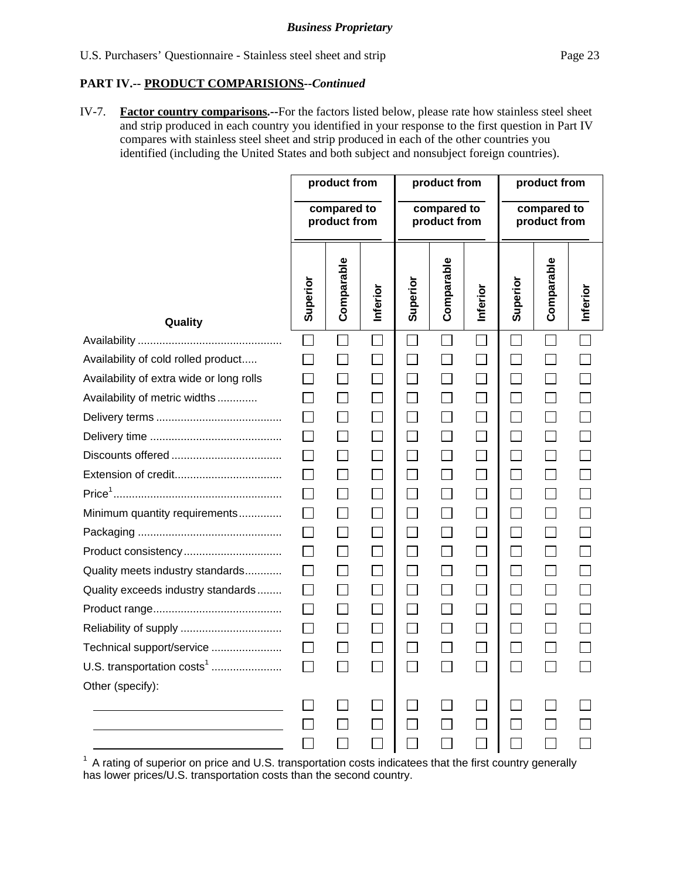#### **PART IV.-- PRODUCT COMPARISIONS***--Continued*

IV-7. **Factor country comparisons.--**For the factors listed below, please rate how stainless steel sheet and strip produced in each country you identified in your response to the first question in Part IV compares with stainless steel sheet and strip produced in each of the other countries you identified (including the United States and both subject and nonsubject foreign countries).

|                                          | product from                |              | product from |                             |            | product from                |                             |            |          |
|------------------------------------------|-----------------------------|--------------|--------------|-----------------------------|------------|-----------------------------|-----------------------------|------------|----------|
|                                          | compared to<br>product from |              |              | compared to<br>product from |            |                             | compared to<br>product from |            |          |
| Quality                                  | Superior                    | Comparable   | Inferior     | Superior                    | Comparable | Inferior                    | Superior                    | Comparable | Inferior |
|                                          | $\Box$                      | $\Box$       | $\Box$       |                             |            |                             | $\mathsf{L}$                |            |          |
| Availability of cold rolled product      |                             |              |              |                             |            | $\mathcal{L}_{\mathcal{A}}$ |                             |            |          |
| Availability of extra wide or long rolls |                             | $\Box$       |              | $\Box$                      |            | $\Box$                      | $\vert \ \ \vert$           |            |          |
| Availability of metric widths            |                             | $\mathbf{I}$ |              |                             |            |                             |                             |            |          |
|                                          |                             | $\Box$       |              | $\Box$                      |            | $\Box$                      | $\mathcal{L}_{\mathcal{A}}$ |            |          |
|                                          |                             | $\Box$       |              | $\Box$                      |            | $\mathcal{L}_{\mathcal{A}}$ | $\mathcal{L}$               |            |          |
|                                          |                             | $\Box$       |              | $\Box$                      |            | $\Box$                      | $\Box$                      |            |          |
|                                          |                             | $\Box$       |              | $\Box$                      |            | $\overline{\phantom{a}}$    | $\Box$                      |            |          |
|                                          |                             | $\Box$       |              | П                           |            | $\Box$                      | $\vert \ \ \vert$           |            |          |
| Minimum quantity requirements            |                             | $\Box$       |              | П                           |            | $\mathbb{R}^n$              | $\mathsf{L}$                |            |          |
|                                          |                             | $\Box$       |              | $\Box$                      |            | $\Box$                      | $\mathsf{L}$                |            |          |
| Product consistency                      |                             | $\Box$       |              | $\Box$                      |            | $\Box$                      | $\mathsf{L}$                |            |          |
| Quality meets industry standards         |                             | $\Box$       |              |                             |            | $\Box$                      |                             |            |          |
| Quality exceeds industry standards       | $\mathsf{L}$                | $\Box$       |              | $\sim$                      | $\sim$     | $\Box$                      | $\mathcal{L}$               |            |          |
|                                          |                             | $\Box$       |              |                             |            | $\mathcal{L}_{\mathcal{A}}$ | $\mathcal{L}$               |            |          |
|                                          | $\Box$                      | $\Box$       |              | $\overline{\phantom{a}}$    |            | $\overline{\phantom{a}}$    | $\sim$                      |            |          |
| Technical support/service                |                             |              |              |                             |            |                             |                             |            |          |
| U.S. transportation costs <sup>1</sup>   |                             |              |              |                             |            |                             |                             |            |          |
| Other (specify):                         |                             |              |              |                             |            |                             |                             |            |          |
|                                          |                             |              |              |                             |            |                             |                             |            |          |
|                                          |                             |              |              |                             |            |                             |                             |            |          |
|                                          |                             |              |              |                             |            |                             |                             |            |          |

 $1$  A rating of superior on price and U.S. transportation costs indicatees that the first country generally has lower prices/U.S. transportation costs than the second country.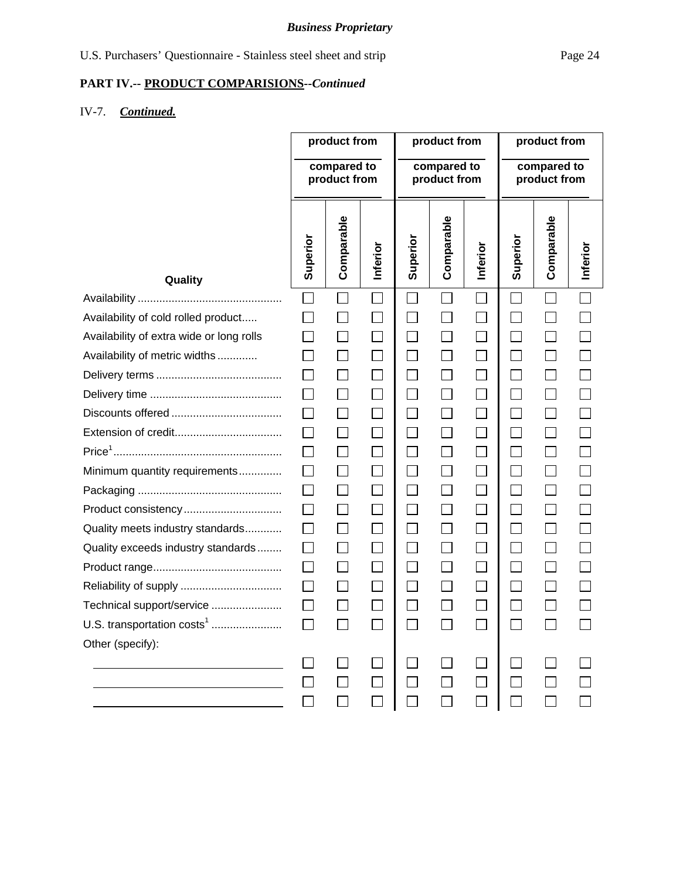## **PART IV.-- PRODUCT COMPARISIONS***--Continued*

## IV-7. *Continued.*

|                                          | product from<br>compared to |                             | product from<br>compared to |                |                   | product from<br>compared to |                          |                          |          |
|------------------------------------------|-----------------------------|-----------------------------|-----------------------------|----------------|-------------------|-----------------------------|--------------------------|--------------------------|----------|
|                                          | product from                |                             | product from                |                |                   | product from                |                          |                          |          |
| Quality                                  | Superior                    | Comparable                  | Inferior                    | Superior       | Comparable        | Inferior                    | Superior                 | Comparable               | Inferior |
|                                          | $\Box$                      |                             |                             | $\Box$         | $\Box$            | $\mathbb{R}^n$              | $\Box$                   |                          |          |
| Availability of cold rolled product      |                             |                             |                             | $\Box$         | $\vert \ \ \vert$ | $\Box$                      | $\Box$                   |                          |          |
| Availability of extra wide or long rolls |                             |                             |                             | $\Box$         | $\Box$            | $\Box$                      | $\Box$                   |                          |          |
| Availability of metric widths            |                             |                             | $\mathcal{L}_{\mathcal{A}}$ | $\mathbb{Z}^2$ | $\Box$            | $\Box$                      | $\Box$                   | $\Box$                   |          |
|                                          |                             |                             | $\mathcal{L}_{\mathcal{A}}$ | $\Box$         | $\Box$            | $\Box$                      | $\Box$                   | $\Box$                   |          |
|                                          | $\Box$                      | $\Box$                      | $\Box$                      | $\Box$         | $\Box$            | $\Box$                      | $\overline{\phantom{0}}$ | $\Box$                   |          |
|                                          |                             |                             | $\mathcal{L}_{\mathcal{A}}$ | $\Box$         | $\Box$            | $\Box$                      | $\Box$                   | $\Box$                   |          |
|                                          |                             |                             | $\Box$                      | $\Box$         | $\Box$            | $\Box$                      | $\Box$                   | $\Box$                   |          |
|                                          |                             | $\Box$                      | $\vert \ \ \vert$           | $\Box$         | $\Box$            | $\Box$                      | $\Box$                   | $\Box$                   |          |
| Minimum quantity requirements            |                             | $\Box$                      | $\Box$                      | $\Box$         | $\Box$            | $\Box$                      | $\Box$                   | $\Box$                   |          |
|                                          |                             |                             | $\Box$                      | $\Box$         | $\Box$            | $\Box$                      | $\Box$                   | $\Box$                   |          |
| Product consistency                      |                             |                             | $\Box$                      | $\Box$         | $\Box$            | $\Box$                      | $\Box$                   | $\Box$                   |          |
| Quality meets industry standards         | $\mathbf{L}$                | $\mathcal{L}_{\mathcal{A}}$ | $\Box$                      | $\Box$         | $\Box$            | $\Box$                      | $\Box$                   | $\overline{\phantom{a}}$ |          |
| Quality exceeds industry standards       | $\Box$                      |                             | $\Box$                      | $\Box$         | $\Box$            | $\Box$                      | $\Box$                   | $\Box$                   |          |
|                                          | $\Box$                      | $\Box$                      | $\Box$                      | $\Box$         | $\Box$            | $\Box$                      | $\Box$                   | $\Box$                   |          |
|                                          |                             |                             |                             | $\Box$         |                   | $\Box$                      |                          |                          |          |
| Technical support/service                |                             |                             |                             | $\blacksquare$ |                   | $\Box$                      | $\sim$                   |                          |          |
| U.S. transportation $costs1$             |                             |                             |                             |                |                   |                             |                          |                          |          |
| Other (specify):                         |                             |                             |                             |                |                   |                             |                          |                          |          |
|                                          |                             |                             |                             |                |                   |                             |                          |                          |          |
|                                          |                             |                             |                             |                |                   |                             |                          |                          |          |
|                                          |                             |                             |                             |                |                   |                             |                          |                          |          |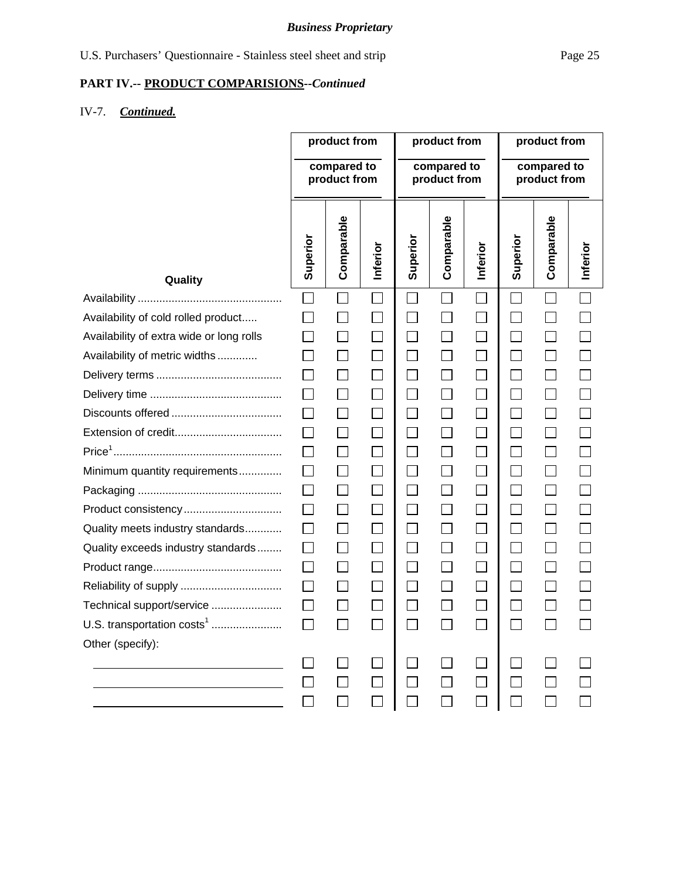## **PART IV.-- PRODUCT COMPARISIONS***--Continued*

## IV-7. *Continued.*

|                                          | product from<br>compared to<br>product from |                             | product from<br>compared to<br>product from |                |                   | product from<br>compared to<br>product from |                          |                          |          |
|------------------------------------------|---------------------------------------------|-----------------------------|---------------------------------------------|----------------|-------------------|---------------------------------------------|--------------------------|--------------------------|----------|
| Quality                                  | Superior                                    | Comparable                  | Inferior                                    | Superior       | Comparable        | Inferior                                    | Superior                 | Comparable               | Inferior |
|                                          | $\Box$                                      |                             |                                             | $\Box$         | $\Box$            | $\mathbb{R}^n$                              | $\Box$                   |                          |          |
| Availability of cold rolled product      |                                             |                             |                                             | $\Box$         | $\vert \ \ \vert$ | $\Box$                                      | $\Box$                   |                          |          |
| Availability of extra wide or long rolls |                                             |                             |                                             | $\Box$         | $\Box$            | $\Box$                                      | $\Box$                   |                          |          |
| Availability of metric widths            |                                             |                             | $\mathcal{L}_{\mathcal{A}}$                 | $\mathbb{Z}^2$ | $\Box$            | $\Box$                                      | $\Box$                   | $\Box$                   |          |
|                                          |                                             |                             | $\mathcal{L}_{\mathcal{A}}$                 | $\Box$         | $\Box$            | $\Box$                                      | $\Box$                   | $\Box$                   |          |
|                                          | $\Box$                                      | $\Box$                      | $\Box$                                      | $\Box$         | $\Box$            | $\Box$                                      | $\overline{\phantom{0}}$ | $\Box$                   |          |
|                                          |                                             |                             | $\mathcal{L}_{\mathcal{A}}$                 | $\Box$         | $\Box$            | $\Box$                                      | $\Box$                   | $\Box$                   |          |
|                                          |                                             |                             | $\Box$                                      | $\Box$         | $\Box$            | $\Box$                                      | $\Box$                   | $\Box$                   |          |
|                                          |                                             | $\Box$                      | $\vert \ \ \vert$                           | $\Box$         | $\Box$            | $\Box$                                      | $\Box$                   | $\Box$                   |          |
| Minimum quantity requirements            |                                             | $\Box$                      | $\Box$                                      | $\Box$         | $\Box$            | $\Box$                                      | $\Box$                   | $\Box$                   |          |
|                                          |                                             |                             | $\Box$                                      | $\Box$         | $\Box$            | $\Box$                                      | $\Box$                   | $\Box$                   |          |
| Product consistency                      |                                             |                             | $\Box$                                      | $\Box$         | $\Box$            | $\Box$                                      | $\Box$                   | $\Box$                   |          |
| Quality meets industry standards         | $\mathbf{L}$                                | $\mathcal{L}_{\mathcal{A}}$ | $\Box$                                      | $\Box$         | $\Box$            | $\Box$                                      | $\Box$                   | $\overline{\phantom{a}}$ |          |
| Quality exceeds industry standards       | $\Box$                                      |                             | $\Box$                                      | $\Box$         | $\Box$            | $\Box$                                      | $\Box$                   | $\Box$                   |          |
|                                          | $\Box$                                      | $\Box$                      | $\Box$                                      | $\Box$         | $\Box$            | $\Box$                                      | $\Box$                   | $\Box$                   |          |
|                                          |                                             |                             |                                             | $\Box$         |                   | $\Box$                                      |                          |                          |          |
| Technical support/service                |                                             |                             |                                             | $\blacksquare$ |                   | $\Box$                                      | $\sim$                   |                          |          |
| U.S. transportation $costs1$             |                                             |                             |                                             |                |                   |                                             |                          |                          |          |
| Other (specify):                         |                                             |                             |                                             |                |                   |                                             |                          |                          |          |
|                                          |                                             |                             |                                             |                |                   |                                             |                          |                          |          |
|                                          |                                             |                             |                                             |                |                   |                                             |                          |                          |          |
|                                          |                                             |                             |                                             |                |                   |                                             |                          |                          |          |